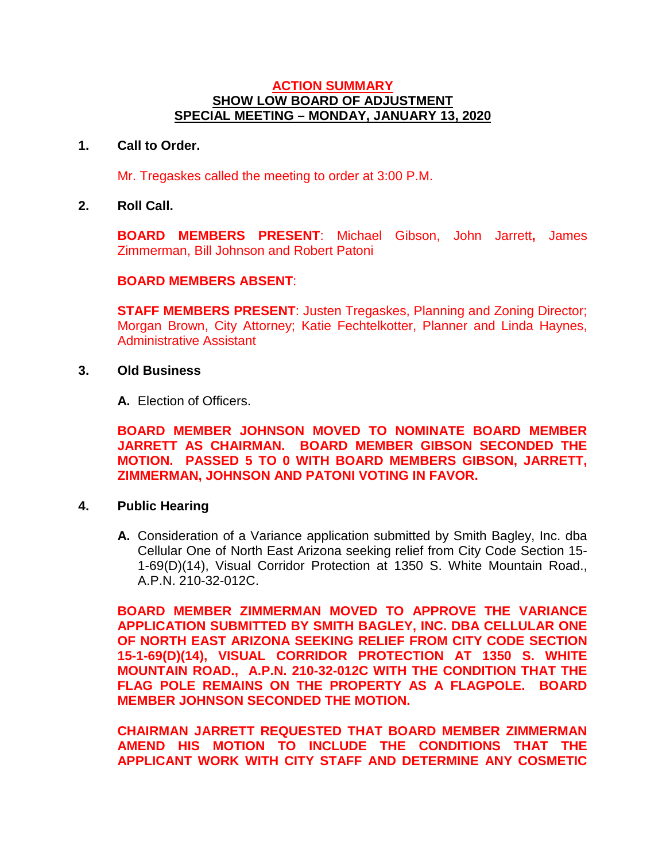## **ACTION SUMMARY SHOW LOW BOARD OF ADJUSTMENT SPECIAL MEETING – MONDAY, JANUARY 13, 2020**

## **1. Call to Order.**

Mr. Tregaskes called the meeting to order at 3:00 P.M.

**2. Roll Call.**

**BOARD MEMBERS PRESENT**: Michael Gibson, John Jarrett**,** James Zimmerman, Bill Johnson and Robert Patoni

#### **BOARD MEMBERS ABSENT**:

**STAFF MEMBERS PRESENT:** Justen Tregaskes, Planning and Zoning Director; Morgan Brown, City Attorney; Katie Fechtelkotter, Planner and Linda Haynes, Administrative Assistant

#### **3. Old Business**

**A.** Election of Officers.

**BOARD MEMBER JOHNSON MOVED TO NOMINATE BOARD MEMBER JARRETT AS CHAIRMAN. BOARD MEMBER GIBSON SECONDED THE MOTION. PASSED 5 TO 0 WITH BOARD MEMBERS GIBSON, JARRETT, ZIMMERMAN, JOHNSON AND PATONI VOTING IN FAVOR.**

## **4. Public Hearing**

**A.** Consideration of a Variance application submitted by Smith Bagley, Inc. dba Cellular One of North East Arizona seeking relief from City Code Section 15- 1-69(D)(14), Visual Corridor Protection at 1350 S. White Mountain Road., A.P.N. 210-32-012C.

**BOARD MEMBER ZIMMERMAN MOVED TO APPROVE THE VARIANCE APPLICATION SUBMITTED BY SMITH BAGLEY, INC. DBA CELLULAR ONE OF NORTH EAST ARIZONA SEEKING RELIEF FROM CITY CODE SECTION 15-1-69(D)(14), VISUAL CORRIDOR PROTECTION AT 1350 S. WHITE MOUNTAIN ROAD., A.P.N. 210-32-012C WITH THE CONDITION THAT THE FLAG POLE REMAINS ON THE PROPERTY AS A FLAGPOLE. BOARD MEMBER JOHNSON SECONDED THE MOTION.** 

**CHAIRMAN JARRETT REQUESTED THAT BOARD MEMBER ZIMMERMAN AMEND HIS MOTION TO INCLUDE THE CONDITIONS THAT THE APPLICANT WORK WITH CITY STAFF AND DETERMINE ANY COSMETIC**